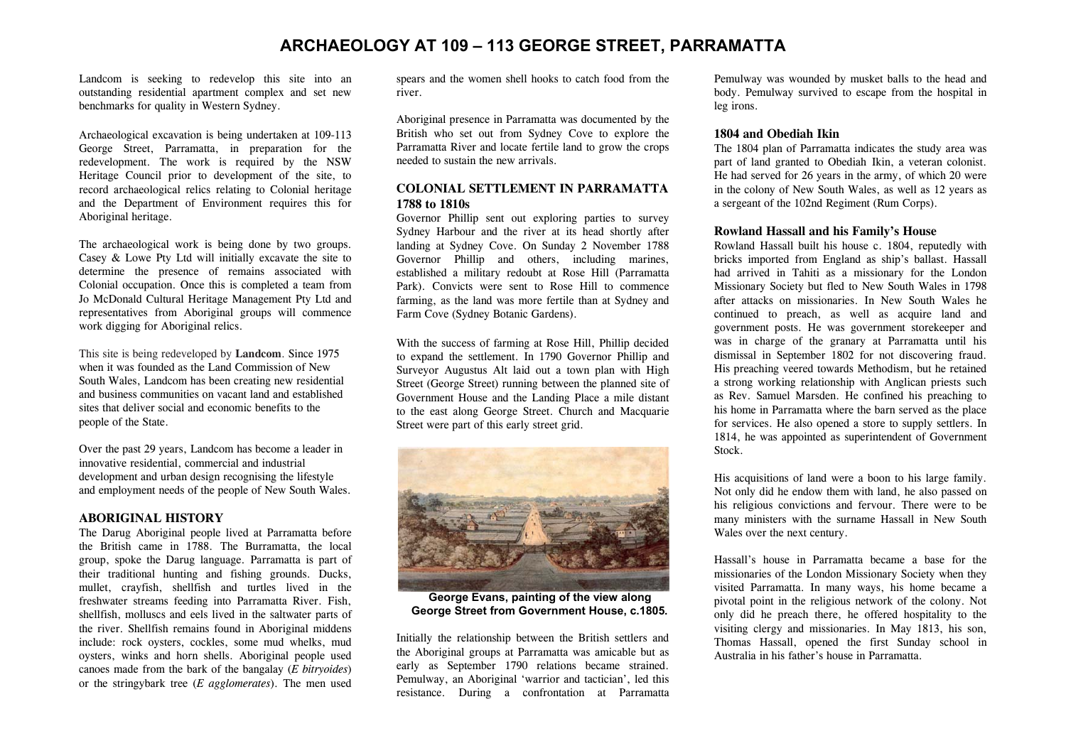# **ARCHAEOLOGY AT 109 – 113 GEORGE STREET, PARRAMATTA**

Landcom is seeking to redevelop this site into an outstanding residential apartment complex and set new benchmarks for quality in Western Sydney.

Archaeological excavation is being undertaken at 109-113 George Street, Parramatta, in preparation for the redevelopment. The work is required by the NSW Heritage Council prior to development of the site, to record archaeological relics relating to Colonial heritage and the Department of Environment requires this for Aboriginal heritage.

The archaeological work is being done by two groups. Casey & Lowe Pty Ltd will initially excavate the site to determine the presence of remains associated with Colonial occupation. Once this is completed a team from Jo McDonald Cultural Heritage Management Pty Ltd and representatives from Aboriginal groups will commence work digging for Aboriginal relics.

This site is being redeveloped by **Landcom**. Since 1975 when it was founded as the Land Commission of New South Wales, Landcom has been creating new residential and business communities on vacant land and established sites that deliver social and economic benefits to the people of the State.

Over the past 29 years, Landcom has become a leader in innovative residential, commercial and industrial development and urban design recognising the lifestyle and employment needs of the people of New South Wales.

#### **ABORIGINAL HISTORY**

The Darug Aboriginal people lived at Parramatta before the British came in 1788. The Burramatta, the local group, spoke the Darug language. Parramatta is part of their traditional hunting and fishing grounds. Ducks, mullet, crayfish, shellfish and turtles lived in the freshwater streams feeding into Parramatta River. Fish, shellfish, molluscs and eels lived in the saltwater parts of the river. Shellfish remains found in Aboriginal middens include: rock oysters, cockles, some mud whelks, mud oysters, winks and horn shells. Aboriginal people used canoes made from the bark of the bangalay (*E bitryoides*) or the stringybark tree (*E agglomerates*). The men used

spears and the women shell hooks to catch food from the river.

Aboriginal presence in Parramatta was documented by the British who set out from Sydney Cove to explore the Parramatta River and locate fertile land to grow the crops needed to sustain the new arrivals.

# **COLONIAL SETTLEMENT IN PARRAMATTA 1788 to 1810s**

Governor Phillip sent out exploring parties to survey Sydney Harbour and the river at its head shortly after landing at Sydney Cove. On Sunday 2 November 1788 Governor Phillip and others, including marines, established a military redoubt at Rose Hill (Parramatta Park). Convicts were sent to Rose Hill to commence farming, as the land was more fertile than at Sydney and Farm Cove (Sydney Botanic Gardens).

With the success of farming at Rose Hill, Phillip decided to expand the settlement. In 1790 Governor Phillip and Surveyor Augustus Alt laid out a town plan with High Street (George Street) running between the planned site of Government House and the Landing Place a mile distant to the east along George Street. Church and Macquarie Street were part of this early street grid.



**George Evans, painting of the view along George Street from Government House, c.1805***.* 

Initially the relationship between the British settlers and the Aboriginal groups at Parramatta was amicable but as early as September 1790 relations became strained. Pemulway, an Aboriginal 'warrior and tactician', led this resistance. During a confrontation at Parramatta

Pemulway was wounded by musket balls to the head and body. Pemulway survived to escape from the hospital in leg irons.

### **1804 and Obediah Ikin**

The 1804 plan of Parramatta indicates the study area was part of land granted to Obediah Ikin, a veteran colonist. He had served for 26 years in the army, of which 20 were in the colony of New South Wales, as well as 12 years as a sergeant of the 102nd Regiment (Rum Corps).

## **Rowland Hassall and his Family's House**

Rowland Hassall built his house c. 1804, reputedly with bricks imported from England as ship's ballast. Hassall had arrived in Tahiti as a missionary for the London Missionary Society but fled to New South Wales in 1798 after attacks on missionaries. In New South Wales he continued to preach, as well as acquire land and government posts. He was government storekeeper and was in charge of the granary at Parramatta until his dismissal in September 1802 for not discovering fraud. His preaching veered towards Methodism, but he retained a strong working relationship with Anglican priests such as Rev. Samuel Marsden. He confined his preaching to his home in Parramatta where the barn served as the place for services. He also opened a store to supply settlers. In 1814, he was appointed as superintendent of Government Stock.

His acquisitions of land were a boon to his large family. Not only did he endow them with land, he also passed on his religious convictions and fervour. There were to be many ministers with the surname Hassall in New South Wales over the next century.

Hassall's house in Parramatta became a base for the missionaries of the London Missionary Society when they visited Parramatta. In many ways, his home became a pivotal point in the religious network of the colony. Not only did he preach there, he offered hospitality to the visiting clergy and missionaries. In May 1813, his son, Thomas Hassall, opened the first Sunday school in Australia in his father's house in Parramatta.